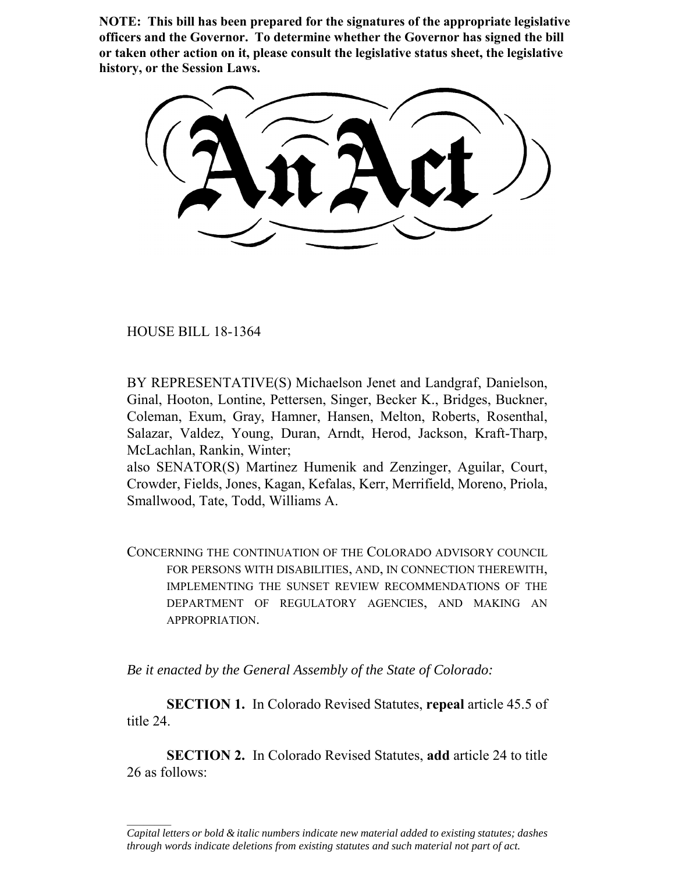**NOTE: This bill has been prepared for the signatures of the appropriate legislative officers and the Governor. To determine whether the Governor has signed the bill or taken other action on it, please consult the legislative status sheet, the legislative history, or the Session Laws.**

HOUSE BILL 18-1364

 $\frac{1}{2}$ 

BY REPRESENTATIVE(S) Michaelson Jenet and Landgraf, Danielson, Ginal, Hooton, Lontine, Pettersen, Singer, Becker K., Bridges, Buckner, Coleman, Exum, Gray, Hamner, Hansen, Melton, Roberts, Rosenthal, Salazar, Valdez, Young, Duran, Arndt, Herod, Jackson, Kraft-Tharp, McLachlan, Rankin, Winter;

also SENATOR(S) Martinez Humenik and Zenzinger, Aguilar, Court, Crowder, Fields, Jones, Kagan, Kefalas, Kerr, Merrifield, Moreno, Priola, Smallwood, Tate, Todd, Williams A.

CONCERNING THE CONTINUATION OF THE COLORADO ADVISORY COUNCIL FOR PERSONS WITH DISABILITIES, AND, IN CONNECTION THEREWITH, IMPLEMENTING THE SUNSET REVIEW RECOMMENDATIONS OF THE DEPARTMENT OF REGULATORY AGENCIES, AND MAKING AN APPROPRIATION.

*Be it enacted by the General Assembly of the State of Colorado:*

**SECTION 1.** In Colorado Revised Statutes, **repeal** article 45.5 of title 24.

**SECTION 2.** In Colorado Revised Statutes, **add** article 24 to title 26 as follows:

*Capital letters or bold & italic numbers indicate new material added to existing statutes; dashes through words indicate deletions from existing statutes and such material not part of act.*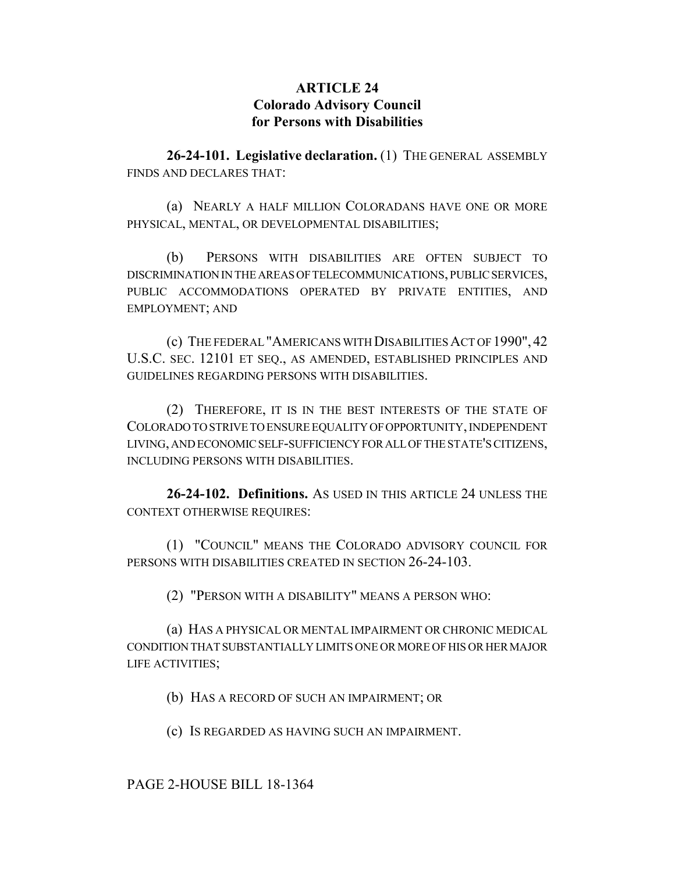# **ARTICLE 24 Colorado Advisory Council for Persons with Disabilities**

**26-24-101. Legislative declaration.** (1) THE GENERAL ASSEMBLY FINDS AND DECLARES THAT:

(a) NEARLY A HALF MILLION COLORADANS HAVE ONE OR MORE PHYSICAL, MENTAL, OR DEVELOPMENTAL DISABILITIES;

(b) PERSONS WITH DISABILITIES ARE OFTEN SUBJECT TO DISCRIMINATION IN THE AREAS OF TELECOMMUNICATIONS, PUBLIC SERVICES, PUBLIC ACCOMMODATIONS OPERATED BY PRIVATE ENTITIES, AND EMPLOYMENT; AND

(c) THE FEDERAL "AMERICANS WITH DISABILITIES ACT OF 1990", 42 U.S.C. SEC. 12101 ET SEQ., AS AMENDED, ESTABLISHED PRINCIPLES AND GUIDELINES REGARDING PERSONS WITH DISABILITIES.

(2) THEREFORE, IT IS IN THE BEST INTERESTS OF THE STATE OF COLORADO TO STRIVE TO ENSURE EQUALITY OF OPPORTUNITY, INDEPENDENT LIVING, AND ECONOMIC SELF-SUFFICIENCY FOR ALL OF THE STATE'S CITIZENS, INCLUDING PERSONS WITH DISABILITIES.

**26-24-102. Definitions.** AS USED IN THIS ARTICLE 24 UNLESS THE CONTEXT OTHERWISE REQUIRES:

(1) "COUNCIL" MEANS THE COLORADO ADVISORY COUNCIL FOR PERSONS WITH DISABILITIES CREATED IN SECTION 26-24-103.

(2) "PERSON WITH A DISABILITY" MEANS A PERSON WHO:

(a) HAS A PHYSICAL OR MENTAL IMPAIRMENT OR CHRONIC MEDICAL CONDITION THAT SUBSTANTIALLY LIMITS ONE OR MORE OF HIS OR HER MAJOR LIFE ACTIVITIES;

(b) HAS A RECORD OF SUCH AN IMPAIRMENT; OR

(c) IS REGARDED AS HAVING SUCH AN IMPAIRMENT.

PAGE 2-HOUSE BILL 18-1364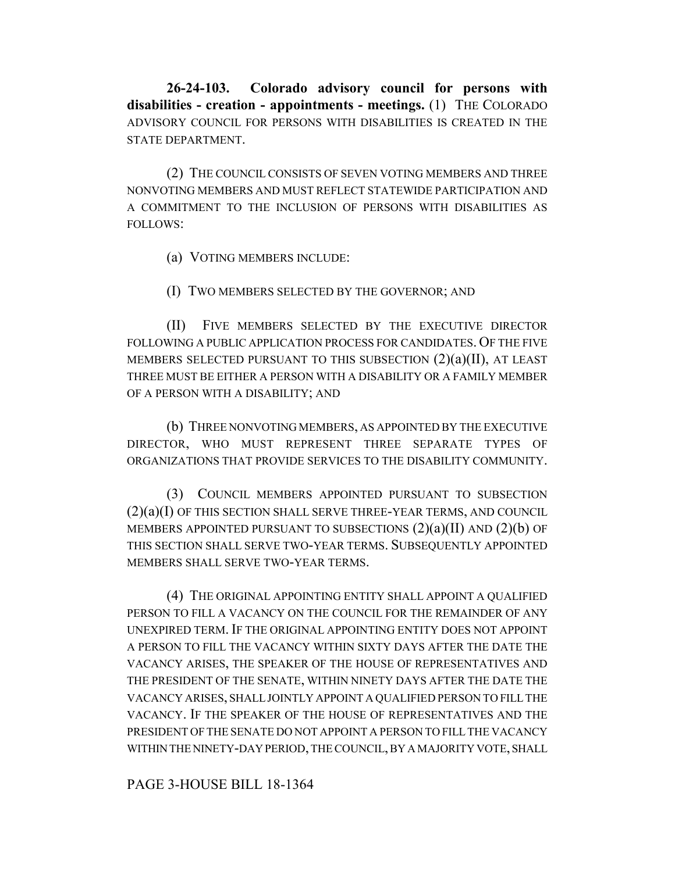**26-24-103. Colorado advisory council for persons with disabilities - creation - appointments - meetings.** (1) THE COLORADO ADVISORY COUNCIL FOR PERSONS WITH DISABILITIES IS CREATED IN THE STATE DEPARTMENT.

(2) THE COUNCIL CONSISTS OF SEVEN VOTING MEMBERS AND THREE NONVOTING MEMBERS AND MUST REFLECT STATEWIDE PARTICIPATION AND A COMMITMENT TO THE INCLUSION OF PERSONS WITH DISABILITIES AS FOLLOWS:

(a) VOTING MEMBERS INCLUDE:

(I) TWO MEMBERS SELECTED BY THE GOVERNOR; AND

(II) FIVE MEMBERS SELECTED BY THE EXECUTIVE DIRECTOR FOLLOWING A PUBLIC APPLICATION PROCESS FOR CANDIDATES. OF THE FIVE MEMBERS SELECTED PURSUANT TO THIS SUBSECTION  $(2)(a)(II)$ , AT LEAST THREE MUST BE EITHER A PERSON WITH A DISABILITY OR A FAMILY MEMBER OF A PERSON WITH A DISABILITY; AND

(b) THREE NONVOTING MEMBERS, AS APPOINTED BY THE EXECUTIVE DIRECTOR, WHO MUST REPRESENT THREE SEPARATE TYPES OF ORGANIZATIONS THAT PROVIDE SERVICES TO THE DISABILITY COMMUNITY.

(3) COUNCIL MEMBERS APPOINTED PURSUANT TO SUBSECTION (2)(a)(I) OF THIS SECTION SHALL SERVE THREE-YEAR TERMS, AND COUNCIL MEMBERS APPOINTED PURSUANT TO SUBSECTIONS  $(2)(a)(II)$  AND  $(2)(b)$  OF THIS SECTION SHALL SERVE TWO-YEAR TERMS. SUBSEQUENTLY APPOINTED MEMBERS SHALL SERVE TWO-YEAR TERMS.

(4) THE ORIGINAL APPOINTING ENTITY SHALL APPOINT A QUALIFIED PERSON TO FILL A VACANCY ON THE COUNCIL FOR THE REMAINDER OF ANY UNEXPIRED TERM. IF THE ORIGINAL APPOINTING ENTITY DOES NOT APPOINT A PERSON TO FILL THE VACANCY WITHIN SIXTY DAYS AFTER THE DATE THE VACANCY ARISES, THE SPEAKER OF THE HOUSE OF REPRESENTATIVES AND THE PRESIDENT OF THE SENATE, WITHIN NINETY DAYS AFTER THE DATE THE VACANCY ARISES, SHALL JOINTLY APPOINT A QUALIFIED PERSON TO FILL THE VACANCY. IF THE SPEAKER OF THE HOUSE OF REPRESENTATIVES AND THE PRESIDENT OF THE SENATE DO NOT APPOINT A PERSON TO FILL THE VACANCY WITHIN THE NINETY-DAY PERIOD, THE COUNCIL, BY A MAJORITY VOTE, SHALL

PAGE 3-HOUSE BILL 18-1364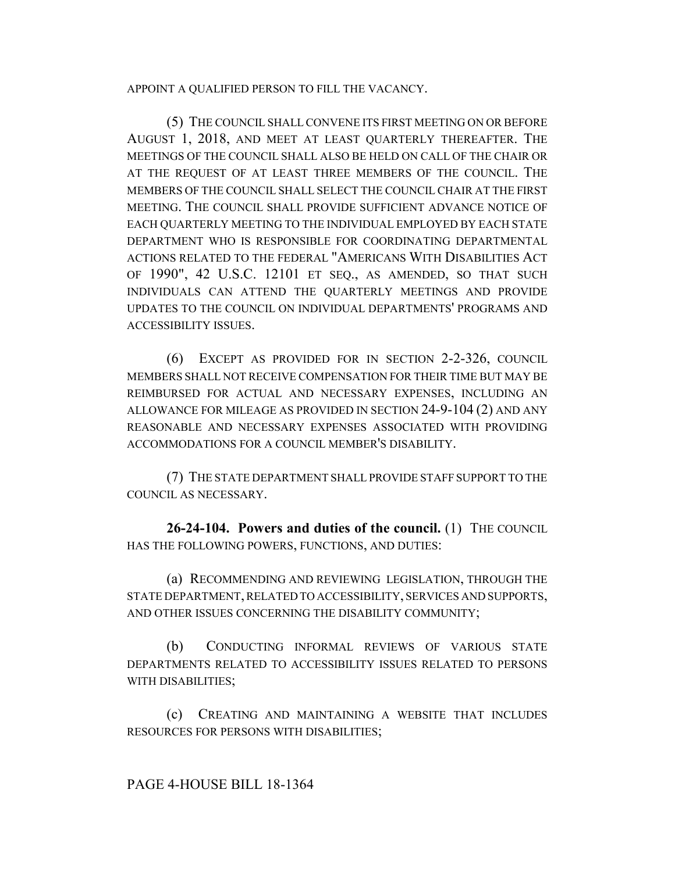#### APPOINT A QUALIFIED PERSON TO FILL THE VACANCY.

(5) THE COUNCIL SHALL CONVENE ITS FIRST MEETING ON OR BEFORE AUGUST 1, 2018, AND MEET AT LEAST QUARTERLY THEREAFTER. THE MEETINGS OF THE COUNCIL SHALL ALSO BE HELD ON CALL OF THE CHAIR OR AT THE REQUEST OF AT LEAST THREE MEMBERS OF THE COUNCIL. THE MEMBERS OF THE COUNCIL SHALL SELECT THE COUNCIL CHAIR AT THE FIRST MEETING. THE COUNCIL SHALL PROVIDE SUFFICIENT ADVANCE NOTICE OF EACH QUARTERLY MEETING TO THE INDIVIDUAL EMPLOYED BY EACH STATE DEPARTMENT WHO IS RESPONSIBLE FOR COORDINATING DEPARTMENTAL ACTIONS RELATED TO THE FEDERAL "AMERICANS WITH DISABILITIES ACT OF 1990", 42 U.S.C. 12101 ET SEQ., AS AMENDED, SO THAT SUCH INDIVIDUALS CAN ATTEND THE QUARTERLY MEETINGS AND PROVIDE UPDATES TO THE COUNCIL ON INDIVIDUAL DEPARTMENTS' PROGRAMS AND ACCESSIBILITY ISSUES.

(6) EXCEPT AS PROVIDED FOR IN SECTION 2-2-326, COUNCIL MEMBERS SHALL NOT RECEIVE COMPENSATION FOR THEIR TIME BUT MAY BE REIMBURSED FOR ACTUAL AND NECESSARY EXPENSES, INCLUDING AN ALLOWANCE FOR MILEAGE AS PROVIDED IN SECTION 24-9-104 (2) AND ANY REASONABLE AND NECESSARY EXPENSES ASSOCIATED WITH PROVIDING ACCOMMODATIONS FOR A COUNCIL MEMBER'S DISABILITY.

(7) THE STATE DEPARTMENT SHALL PROVIDE STAFF SUPPORT TO THE COUNCIL AS NECESSARY.

**26-24-104. Powers and duties of the council.** (1) THE COUNCIL HAS THE FOLLOWING POWERS, FUNCTIONS, AND DUTIES:

(a) RECOMMENDING AND REVIEWING LEGISLATION, THROUGH THE STATE DEPARTMENT, RELATED TO ACCESSIBILITY, SERVICES AND SUPPORTS, AND OTHER ISSUES CONCERNING THE DISABILITY COMMUNITY;

(b) CONDUCTING INFORMAL REVIEWS OF VARIOUS STATE DEPARTMENTS RELATED TO ACCESSIBILITY ISSUES RELATED TO PERSONS WITH DISABILITIES;

(c) CREATING AND MAINTAINING A WEBSITE THAT INCLUDES RESOURCES FOR PERSONS WITH DISABILITIES;

## PAGE 4-HOUSE BILL 18-1364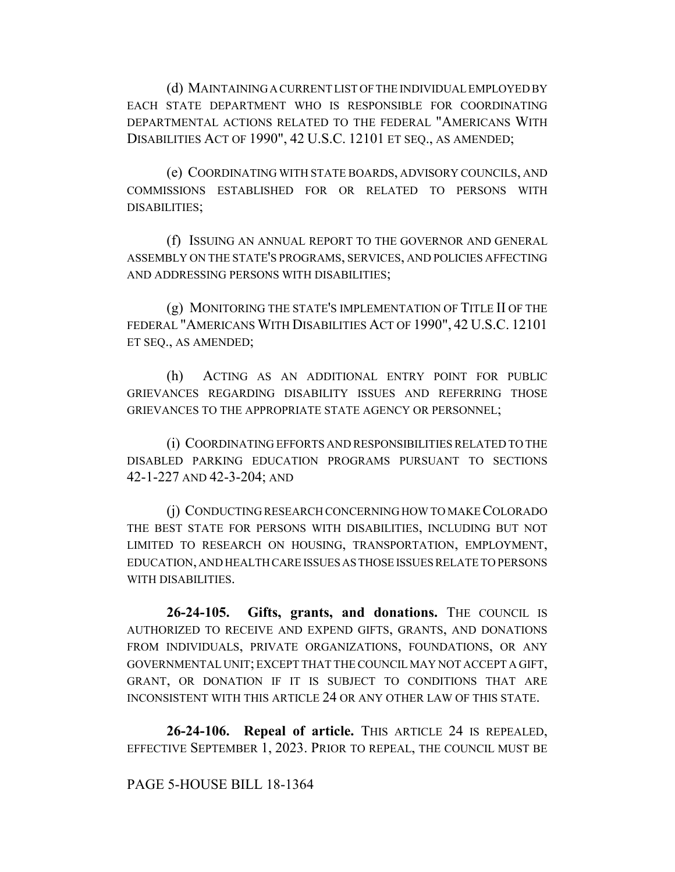(d) MAINTAINING A CURRENT LIST OF THE INDIVIDUAL EMPLOYED BY EACH STATE DEPARTMENT WHO IS RESPONSIBLE FOR COORDINATING DEPARTMENTAL ACTIONS RELATED TO THE FEDERAL "AMERICANS WITH DISABILITIES ACT OF 1990", 42 U.S.C. 12101 ET SEQ., AS AMENDED;

(e) COORDINATING WITH STATE BOARDS, ADVISORY COUNCILS, AND COMMISSIONS ESTABLISHED FOR OR RELATED TO PERSONS WITH DISABILITIES;

(f) ISSUING AN ANNUAL REPORT TO THE GOVERNOR AND GENERAL ASSEMBLY ON THE STATE'S PROGRAMS, SERVICES, AND POLICIES AFFECTING AND ADDRESSING PERSONS WITH DISABILITIES;

(g) MONITORING THE STATE'S IMPLEMENTATION OF TITLE II OF THE FEDERAL "AMERICANS WITH DISABILITIES ACT OF 1990", 42 U.S.C. 12101 ET SEQ., AS AMENDED;

(h) ACTING AS AN ADDITIONAL ENTRY POINT FOR PUBLIC GRIEVANCES REGARDING DISABILITY ISSUES AND REFERRING THOSE GRIEVANCES TO THE APPROPRIATE STATE AGENCY OR PERSONNEL;

(i) COORDINATING EFFORTS AND RESPONSIBILITIES RELATED TO THE DISABLED PARKING EDUCATION PROGRAMS PURSUANT TO SECTIONS 42-1-227 AND 42-3-204; AND

(j) CONDUCTING RESEARCH CONCERNING HOW TO MAKE COLORADO THE BEST STATE FOR PERSONS WITH DISABILITIES, INCLUDING BUT NOT LIMITED TO RESEARCH ON HOUSING, TRANSPORTATION, EMPLOYMENT, EDUCATION, AND HEALTH CARE ISSUES AS THOSE ISSUES RELATE TO PERSONS WITH DISABILITIES.

**26-24-105. Gifts, grants, and donations.** THE COUNCIL IS AUTHORIZED TO RECEIVE AND EXPEND GIFTS, GRANTS, AND DONATIONS FROM INDIVIDUALS, PRIVATE ORGANIZATIONS, FOUNDATIONS, OR ANY GOVERNMENTAL UNIT; EXCEPT THAT THE COUNCIL MAY NOT ACCEPT A GIFT, GRANT, OR DONATION IF IT IS SUBJECT TO CONDITIONS THAT ARE INCONSISTENT WITH THIS ARTICLE 24 OR ANY OTHER LAW OF THIS STATE.

**26-24-106. Repeal of article.** THIS ARTICLE 24 IS REPEALED, EFFECTIVE SEPTEMBER 1, 2023. PRIOR TO REPEAL, THE COUNCIL MUST BE

## PAGE 5-HOUSE BILL 18-1364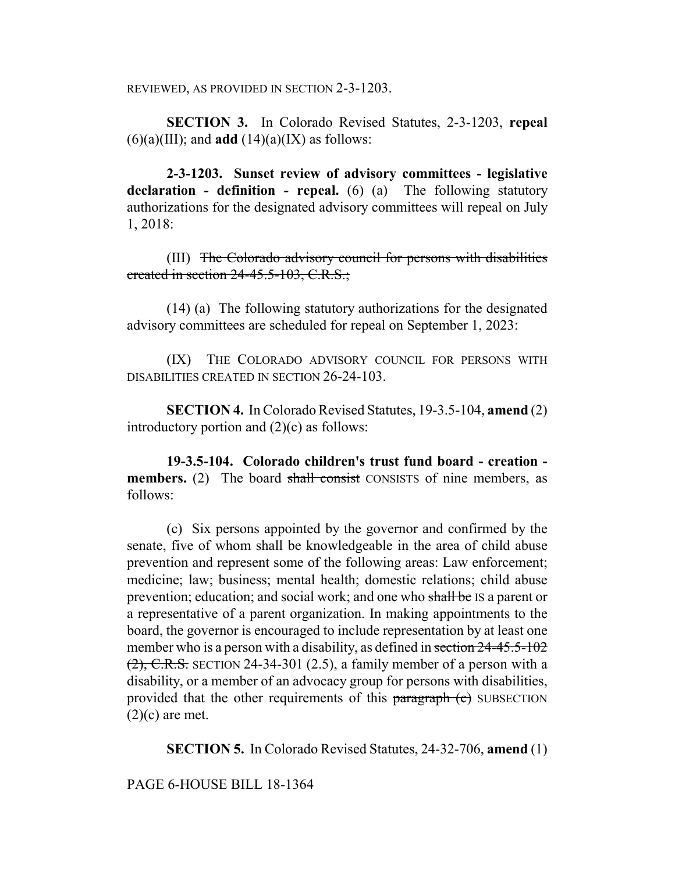REVIEWED, AS PROVIDED IN SECTION 2-3-1203.

**SECTION 3.** In Colorado Revised Statutes, 2-3-1203, **repeal**  $(6)(a)(III)$ ; and **add**  $(14)(a)(IX)$  as follows:

**2-3-1203. Sunset review of advisory committees - legislative declaration - definition - repeal.** (6) (a) The following statutory authorizations for the designated advisory committees will repeal on July 1, 2018:

(III) The Colorado advisory council for persons with disabilities created in section 24-45.5-103, C.R.S.;

(14) (a) The following statutory authorizations for the designated advisory committees are scheduled for repeal on September 1, 2023:

(IX) THE COLORADO ADVISORY COUNCIL FOR PERSONS WITH DISABILITIES CREATED IN SECTION 26-24-103.

**SECTION 4.** In Colorado Revised Statutes, 19-3.5-104, **amend** (2) introductory portion and  $(2)(c)$  as follows:

**19-3.5-104. Colorado children's trust fund board - creation members.** (2) The board shall consist CONSISTS of nine members, as follows:

(c) Six persons appointed by the governor and confirmed by the senate, five of whom shall be knowledgeable in the area of child abuse prevention and represent some of the following areas: Law enforcement; medicine; law; business; mental health; domestic relations; child abuse prevention; education; and social work; and one who shall be IS a parent or a representative of a parent organization. In making appointments to the board, the governor is encouraged to include representation by at least one member who is a person with a disability, as defined in section 24-45.5-102  $(2)$ , C.R.S. SECTION 24-34-301 (2.5), a family member of a person with a disability, or a member of an advocacy group for persons with disabilities, provided that the other requirements of this paragraph (c) SUBSECTION  $(2)(c)$  are met.

**SECTION 5.** In Colorado Revised Statutes, 24-32-706, **amend** (1)

PAGE 6-HOUSE BILL 18-1364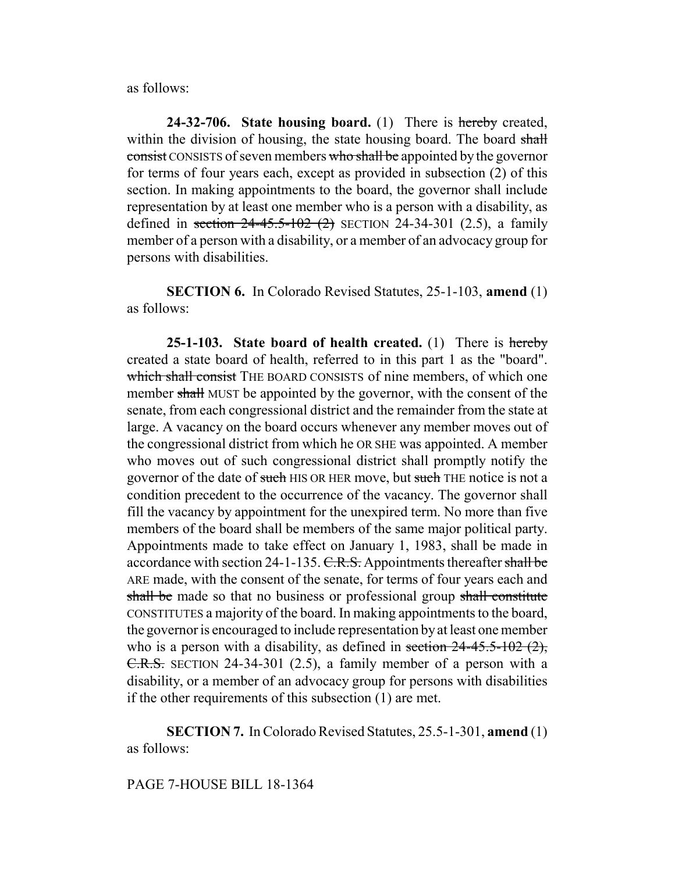as follows:

**24-32-706. State housing board.** (1) There is hereby created, within the division of housing, the state housing board. The board shall consist CONSISTS of seven members who shall be appointed by the governor for terms of four years each, except as provided in subsection (2) of this section. In making appointments to the board, the governor shall include representation by at least one member who is a person with a disability, as defined in section  $24-45.5-102$  (2) SECTION 24-34-301 (2.5), a family member of a person with a disability, or a member of an advocacy group for persons with disabilities.

**SECTION 6.** In Colorado Revised Statutes, 25-1-103, **amend** (1) as follows:

**25-1-103. State board of health created.** (1) There is hereby created a state board of health, referred to in this part 1 as the "board". which shall consist THE BOARD CONSISTS of nine members, of which one member shall MUST be appointed by the governor, with the consent of the senate, from each congressional district and the remainder from the state at large. A vacancy on the board occurs whenever any member moves out of the congressional district from which he OR SHE was appointed. A member who moves out of such congressional district shall promptly notify the governor of the date of such HIS OR HER move, but such THE notice is not a condition precedent to the occurrence of the vacancy. The governor shall fill the vacancy by appointment for the unexpired term. No more than five members of the board shall be members of the same major political party. Appointments made to take effect on January 1, 1983, shall be made in accordance with section 24-1-135. C.R.S. Appointments thereafter shall be ARE made, with the consent of the senate, for terms of four years each and shall be made so that no business or professional group shall constitute CONSTITUTES a majority of the board. In making appointments to the board, the governor is encouraged to include representation by at least one member who is a person with a disability, as defined in section  $24-45.5-102(2)$ , C.R.S. SECTION 24-34-301 (2.5), a family member of a person with a disability, or a member of an advocacy group for persons with disabilities if the other requirements of this subsection (1) are met.

**SECTION 7.** In Colorado Revised Statutes, 25.5-1-301, **amend** (1) as follows:

#### PAGE 7-HOUSE BILL 18-1364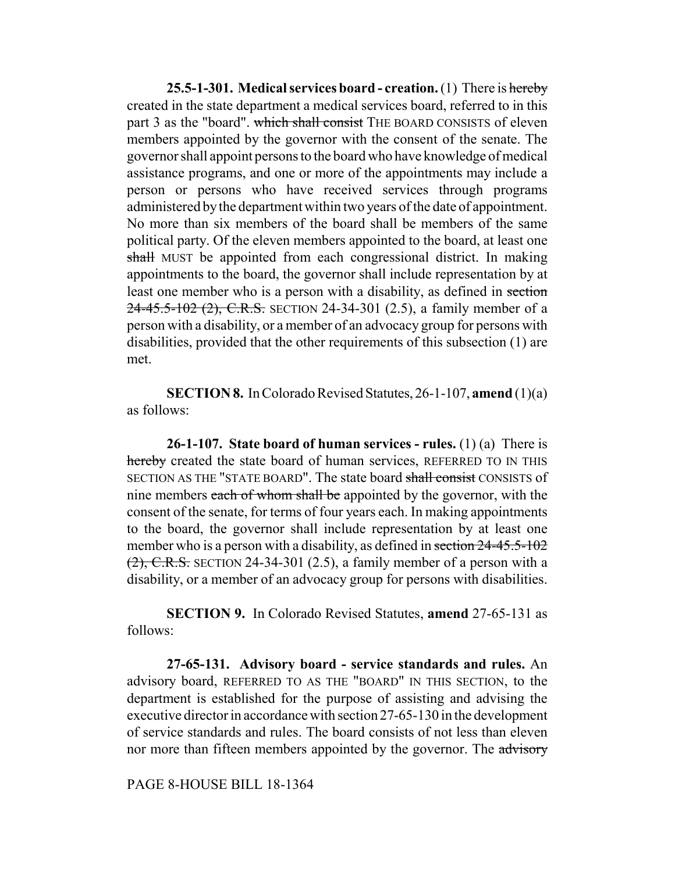**25.5-1-301. Medical services board - creation.** (1) There is hereby created in the state department a medical services board, referred to in this part 3 as the "board". which shall consist THE BOARD CONSISTS of eleven members appointed by the governor with the consent of the senate. The governor shall appoint persons to the board who have knowledge of medical assistance programs, and one or more of the appointments may include a person or persons who have received services through programs administered by the department within two years of the date of appointment. No more than six members of the board shall be members of the same political party. Of the eleven members appointed to the board, at least one shall MUST be appointed from each congressional district. In making appointments to the board, the governor shall include representation by at least one member who is a person with a disability, as defined in section 24-45.5-102 (2), C.R.S. SECTION 24-34-301 (2.5), a family member of a person with a disability, or a member of an advocacy group for persons with disabilities, provided that the other requirements of this subsection (1) are met.

**SECTION 8.** In Colorado Revised Statutes, 26-1-107, **amend** (1)(a) as follows:

**26-1-107. State board of human services - rules.** (1) (a) There is hereby created the state board of human services, REFERRED TO IN THIS SECTION AS THE "STATE BOARD". The state board shall consist CONSISTS of nine members each of whom shall be appointed by the governor, with the consent of the senate, for terms of four years each. In making appointments to the board, the governor shall include representation by at least one member who is a person with a disability, as defined in section 24-45.5-102  $(2)$ , C.R.S. SECTION 24-34-301 (2.5), a family member of a person with a disability, or a member of an advocacy group for persons with disabilities.

**SECTION 9.** In Colorado Revised Statutes, **amend** 27-65-131 as follows:

**27-65-131. Advisory board - service standards and rules.** An advisory board, REFERRED TO AS THE "BOARD" IN THIS SECTION, to the department is established for the purpose of assisting and advising the executive director in accordance with section 27-65-130 in the development of service standards and rules. The board consists of not less than eleven nor more than fifteen members appointed by the governor. The advisory

PAGE 8-HOUSE BILL 18-1364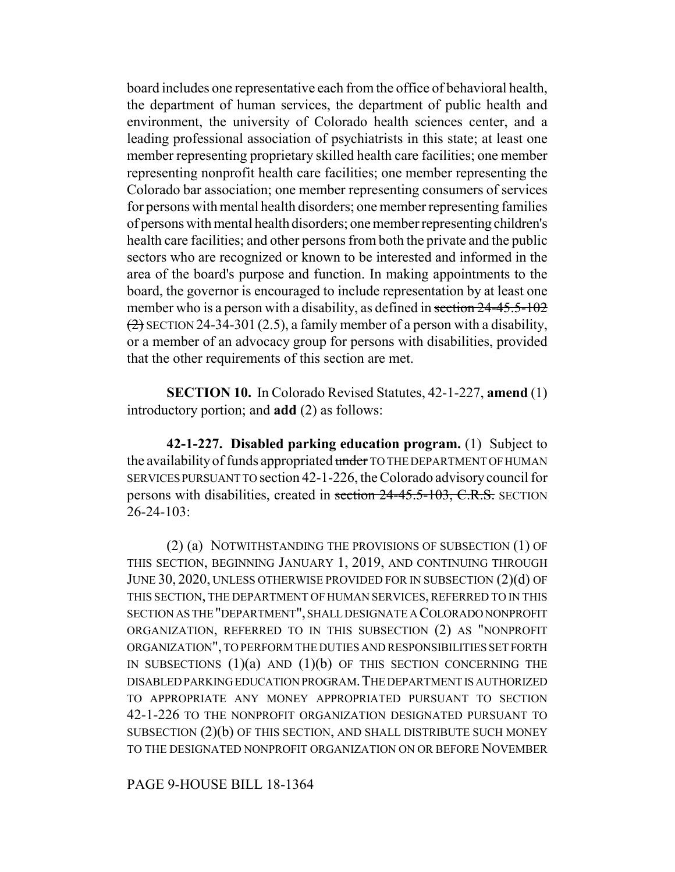board includes one representative each from the office of behavioral health, the department of human services, the department of public health and environment, the university of Colorado health sciences center, and a leading professional association of psychiatrists in this state; at least one member representing proprietary skilled health care facilities; one member representing nonprofit health care facilities; one member representing the Colorado bar association; one member representing consumers of services for persons with mental health disorders; one member representing families of persons with mental health disorders; one member representing children's health care facilities; and other persons from both the private and the public sectors who are recognized or known to be interested and informed in the area of the board's purpose and function. In making appointments to the board, the governor is encouraged to include representation by at least one member who is a person with a disability, as defined in section 24-45.5-102  $(2)$  SECTION 24-34-301 (2.5), a family member of a person with a disability, or a member of an advocacy group for persons with disabilities, provided that the other requirements of this section are met.

**SECTION 10.** In Colorado Revised Statutes, 42-1-227, **amend** (1) introductory portion; and **add** (2) as follows:

**42-1-227. Disabled parking education program.** (1) Subject to the availability of funds appropriated under TO THE DEPARTMENT OF HUMAN SERVICES PURSUANT TO section 42-1-226, the Colorado advisory council for persons with disabilities, created in section 24-45.5-103, C.R.S. SECTION  $26 - 24 - 103$ 

(2) (a) NOTWITHSTANDING THE PROVISIONS OF SUBSECTION (1) OF THIS SECTION, BEGINNING JANUARY 1, 2019, AND CONTINUING THROUGH JUNE 30, 2020, UNLESS OTHERWISE PROVIDED FOR IN SUBSECTION (2)(d) OF THIS SECTION, THE DEPARTMENT OF HUMAN SERVICES, REFERRED TO IN THIS SECTION AS THE "DEPARTMENT", SHALL DESIGNATE A COLORADO NONPROFIT ORGANIZATION, REFERRED TO IN THIS SUBSECTION (2) AS "NONPROFIT ORGANIZATION", TO PERFORM THE DUTIES AND RESPONSIBILITIES SET FORTH IN SUBSECTIONS  $(1)(a)$  and  $(1)(b)$  of this section concerning the DISABLED PARKING EDUCATION PROGRAM.THE DEPARTMENT IS AUTHORIZED TO APPROPRIATE ANY MONEY APPROPRIATED PURSUANT TO SECTION 42-1-226 TO THE NONPROFIT ORGANIZATION DESIGNATED PURSUANT TO SUBSECTION (2)(b) OF THIS SECTION, AND SHALL DISTRIBUTE SUCH MONEY TO THE DESIGNATED NONPROFIT ORGANIZATION ON OR BEFORE NOVEMBER

PAGE 9-HOUSE BILL 18-1364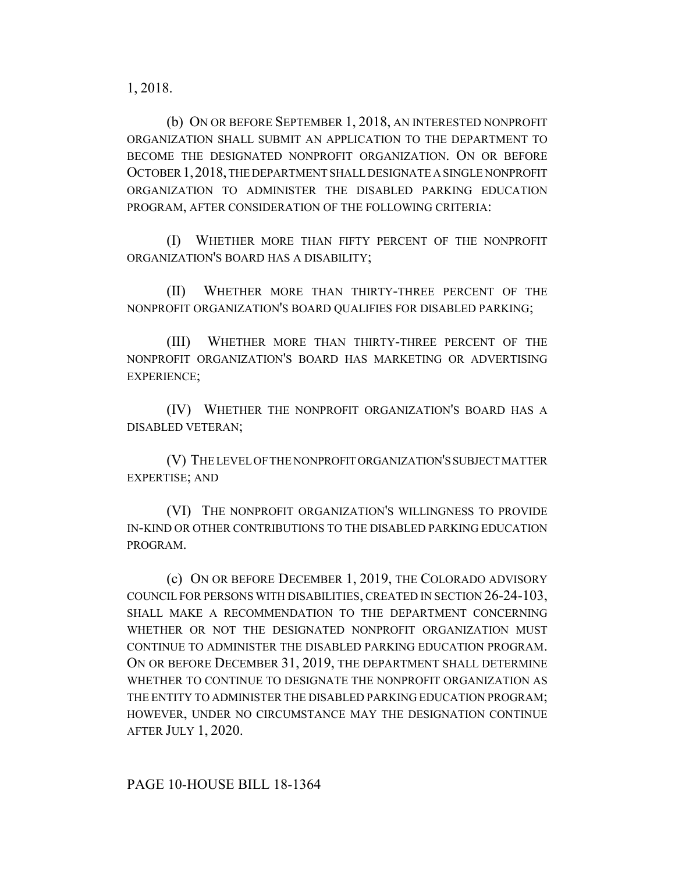1, 2018.

(b) ON OR BEFORE SEPTEMBER 1, 2018, AN INTERESTED NONPROFIT ORGANIZATION SHALL SUBMIT AN APPLICATION TO THE DEPARTMENT TO BECOME THE DESIGNATED NONPROFIT ORGANIZATION. ON OR BEFORE OCTOBER 1,2018, THE DEPARTMENT SHALL DESIGNATE A SINGLE NONPROFIT ORGANIZATION TO ADMINISTER THE DISABLED PARKING EDUCATION PROGRAM, AFTER CONSIDERATION OF THE FOLLOWING CRITERIA:

(I) WHETHER MORE THAN FIFTY PERCENT OF THE NONPROFIT ORGANIZATION'S BOARD HAS A DISABILITY;

(II) WHETHER MORE THAN THIRTY-THREE PERCENT OF THE NONPROFIT ORGANIZATION'S BOARD QUALIFIES FOR DISABLED PARKING;

(III) WHETHER MORE THAN THIRTY-THREE PERCENT OF THE NONPROFIT ORGANIZATION'S BOARD HAS MARKETING OR ADVERTISING EXPERIENCE;

(IV) WHETHER THE NONPROFIT ORGANIZATION'S BOARD HAS A DISABLED VETERAN;

(V) THE LEVEL OF THE NONPROFIT ORGANIZATION'S SUBJECT MATTER EXPERTISE; AND

(VI) THE NONPROFIT ORGANIZATION'S WILLINGNESS TO PROVIDE IN-KIND OR OTHER CONTRIBUTIONS TO THE DISABLED PARKING EDUCATION PROGRAM.

(c) ON OR BEFORE DECEMBER 1, 2019, THE COLORADO ADVISORY COUNCIL FOR PERSONS WITH DISABILITIES, CREATED IN SECTION 26-24-103, SHALL MAKE A RECOMMENDATION TO THE DEPARTMENT CONCERNING WHETHER OR NOT THE DESIGNATED NONPROFIT ORGANIZATION MUST CONTINUE TO ADMINISTER THE DISABLED PARKING EDUCATION PROGRAM. ON OR BEFORE DECEMBER 31, 2019, THE DEPARTMENT SHALL DETERMINE WHETHER TO CONTINUE TO DESIGNATE THE NONPROFIT ORGANIZATION AS THE ENTITY TO ADMINISTER THE DISABLED PARKING EDUCATION PROGRAM; HOWEVER, UNDER NO CIRCUMSTANCE MAY THE DESIGNATION CONTINUE AFTER JULY 1, 2020.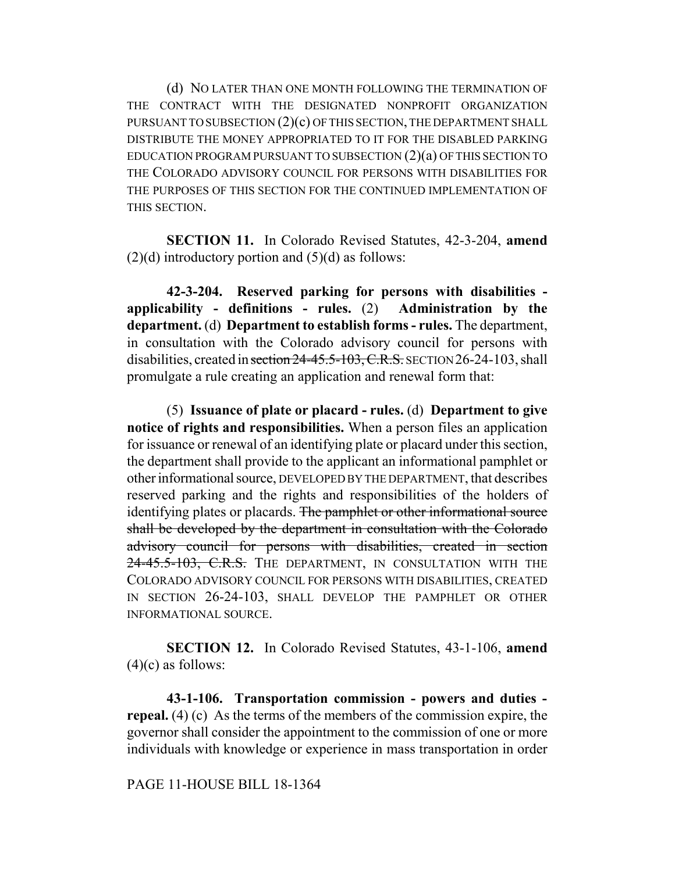(d) NO LATER THAN ONE MONTH FOLLOWING THE TERMINATION OF THE CONTRACT WITH THE DESIGNATED NONPROFIT ORGANIZATION PURSUANT TO SUBSECTION (2)(c) OF THIS SECTION, THE DEPARTMENT SHALL DISTRIBUTE THE MONEY APPROPRIATED TO IT FOR THE DISABLED PARKING EDUCATION PROGRAM PURSUANT TO SUBSECTION (2)(a) OF THIS SECTION TO THE COLORADO ADVISORY COUNCIL FOR PERSONS WITH DISABILITIES FOR THE PURPOSES OF THIS SECTION FOR THE CONTINUED IMPLEMENTATION OF THIS SECTION.

**SECTION 11.** In Colorado Revised Statutes, 42-3-204, **amend**  $(2)(d)$  introductory portion and  $(5)(d)$  as follows:

**42-3-204. Reserved parking for persons with disabilities applicability - definitions - rules.** (2) **Administration by the department.** (d) **Department to establish forms - rules.** The department, in consultation with the Colorado advisory council for persons with disabilities, created in section 24-45.5-103, C.R.S. SECTION 26-24-103, shall promulgate a rule creating an application and renewal form that:

(5) **Issuance of plate or placard - rules.** (d) **Department to give notice of rights and responsibilities.** When a person files an application for issuance or renewal of an identifying plate or placard under this section, the department shall provide to the applicant an informational pamphlet or other informational source, DEVELOPED BY THE DEPARTMENT, that describes reserved parking and the rights and responsibilities of the holders of identifying plates or placards. The pamphlet or other informational source shall be developed by the department in consultation with the Colorado advisory council for persons with disabilities, created in section 24-45.5-103, C.R.S. THE DEPARTMENT, IN CONSULTATION WITH THE COLORADO ADVISORY COUNCIL FOR PERSONS WITH DISABILITIES, CREATED IN SECTION 26-24-103, SHALL DEVELOP THE PAMPHLET OR OTHER INFORMATIONAL SOURCE.

**SECTION 12.** In Colorado Revised Statutes, 43-1-106, **amend**  $(4)(c)$  as follows:

**43-1-106. Transportation commission - powers and duties repeal.** (4) (c) As the terms of the members of the commission expire, the governor shall consider the appointment to the commission of one or more individuals with knowledge or experience in mass transportation in order

PAGE 11-HOUSE BILL 18-1364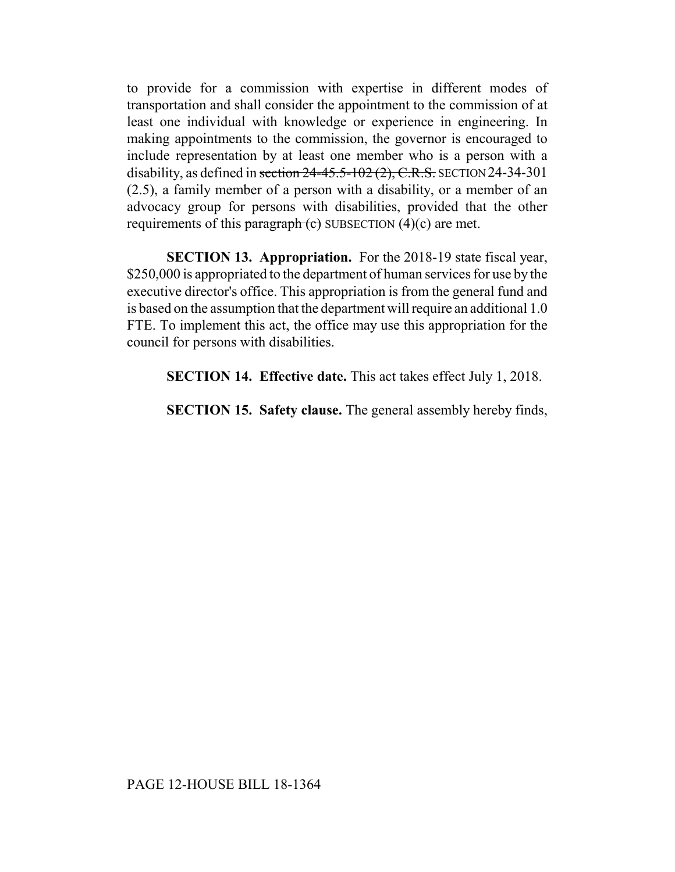to provide for a commission with expertise in different modes of transportation and shall consider the appointment to the commission of at least one individual with knowledge or experience in engineering. In making appointments to the commission, the governor is encouraged to include representation by at least one member who is a person with a disability, as defined in section  $24-45.5-102(2)$ , C.R.S. SECTION 24-34-301 (2.5), a family member of a person with a disability, or a member of an advocacy group for persons with disabilities, provided that the other requirements of this paragraph  $(e)$  SUBSECTION  $(4)(c)$  are met.

**SECTION 13. Appropriation.** For the 2018-19 state fiscal year, \$250,000 is appropriated to the department of human services for use by the executive director's office. This appropriation is from the general fund and is based on the assumption that the department will require an additional 1.0 FTE. To implement this act, the office may use this appropriation for the council for persons with disabilities.

**SECTION 14. Effective date.** This act takes effect July 1, 2018.

**SECTION 15. Safety clause.** The general assembly hereby finds,